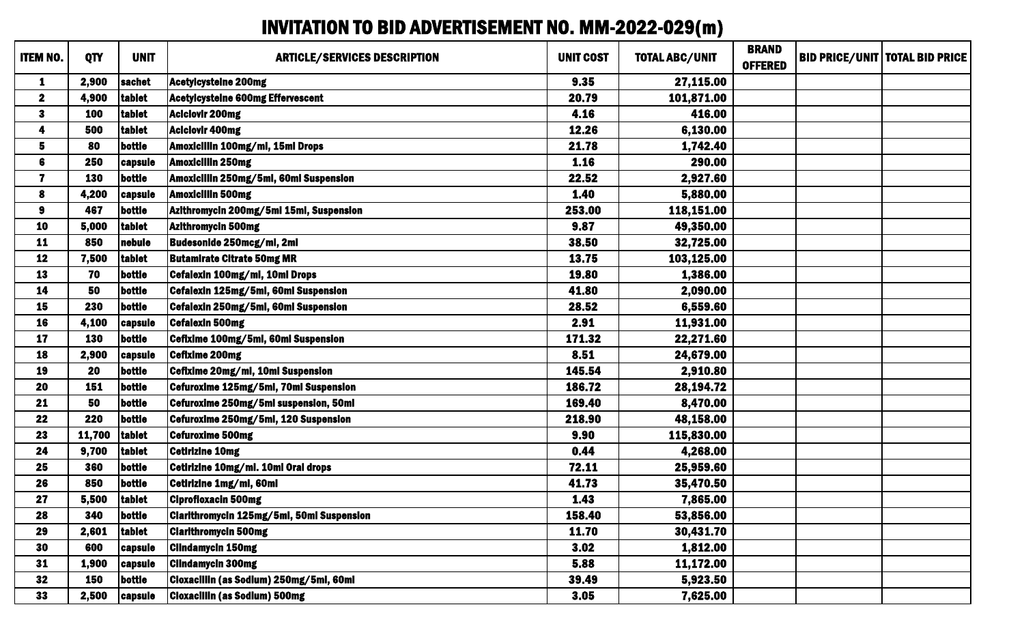## INVITATION TO BID ADVERTISEMENT NO. MM-2022-029(m)

| <b>ITEM NO.</b>         | <b>QTY</b> | <b>UNIT</b>    | <b>ARTICLE/SERVICES DESCRIPTION</b>       | <b>UNIT COST</b> | <b>TOTAL ABC/UNIT</b> | <b>BRAND</b><br><b>OFFERED</b> | <b>BID PRICE/UNIT   TOTAL BID PRICE</b> |
|-------------------------|------------|----------------|-------------------------------------------|------------------|-----------------------|--------------------------------|-----------------------------------------|
| 1                       | 2,900      | sachet         | Acetylcysteine 200mg                      | 9.35             | 27,115.00             |                                |                                         |
| $\boldsymbol{2}$        | 4,900      | tablet         | <b>Acetylcysteine 600mg Effervescent</b>  | 20.79            | 101,871.00            |                                |                                         |
| $\mathbf{3}$            | 100        | tablet         | <b>Aciclovir 200mg</b>                    | 4.16             | 416.00                |                                |                                         |
| 4                       | 500        | tablet         | <b>Aciclovir 400mg</b>                    | 12.26            | 6,130.00              |                                |                                         |
| 5                       | 80         | bottle         | Amoxicillin 100mg/ml, 15ml Drops          | 21.78            | 1,742.40              |                                |                                         |
| 6                       | 250        | capsule        | <b>Amoxicillin 250mg</b>                  | 1.16             | 290.00                |                                |                                         |
| $\overline{\mathbf{7}}$ | <b>130</b> | bottle         | Amoxicillin 250mg/5ml, 60ml Suspension    | 22.52            | 2,927.60              |                                |                                         |
| 8                       | 4,200      | capsule        | <b>Amoxicillin 500mg</b>                  | 1.40             | 5,880.00              |                                |                                         |
| $\boldsymbol{9}$        | 467        | bottle         | Azithromycin 200mg/5ml 15ml, Suspension   | 253.00           | 118,151.00            |                                |                                         |
| 10                      | 5,000      | tablet         | <b>Azithromycin 500mg</b>                 | 9.87             | 49,350.00             |                                |                                         |
| 11                      | 850        | nebule         | Budesonide 250mcg/ml, 2ml                 | 38.50            | 32,725.00             |                                |                                         |
| 12                      | 7,500      | tablet         | <b>Butamirate Citrate 50mg MR</b>         | 13.75            | 103,125.00            |                                |                                         |
| 13                      | 70         | bottle         | Cefalexin 100mg/ml, 10ml Drops            | 19.80            | 1,386.00              |                                |                                         |
| 14                      | 50         | bottle         | Cefalexin 125mg/5ml, 60ml Suspension      | 41.80            | 2,090.00              |                                |                                         |
| 15                      | 230        | bottle         | Cefalexin 250mg/5ml, 60ml Suspension      | 28.52            | 6,559.60              |                                |                                         |
| 16                      | 4,100      | capsule        | <b>Cefalexin 500mg</b>                    | 2.91             | 11,931.00             |                                |                                         |
| 17                      | 130        | bottle         | Cefixime 100mg/5ml, 60ml Suspension       | 171.32           | 22,271.60             |                                |                                         |
| 18                      | 2,900      | capsule        | <b>Cefixime 200mg</b>                     | 8.51             | 24,679.00             |                                |                                         |
| 19                      | 20         | bottle         | Cefixime 20mg/ml, 10ml Suspension         | 145.54           | 2,910.80              |                                |                                         |
| 20                      | 151        | bottle         | Cefuroxime 125mg/5ml, 70ml Suspension     | 186.72           | 28,194.72             |                                |                                         |
| 21                      | 50         | bottle         | Cefuroxime 250mg/5ml suspension, 50ml     | 169.40           | 8,470.00              |                                |                                         |
| 22                      | 220        | bottle         | Cefuroxime 250mg/5ml, 120 Suspension      | 218.90           | 48,158.00             |                                |                                         |
| 23                      | 11,700     | tablet         | <b>Cefuroxime 500mg</b>                   | 9.90             | 115,830.00            |                                |                                         |
| 24                      | 9,700      | tablet         | <b>Cetirizine 10mg</b>                    | 0.44             | 4,268.00              |                                |                                         |
| 25                      | 360        | bottle         | Cetirizine 10mg/ml. 10ml Oral drops       | 72.11            | 25,959.60             |                                |                                         |
| 26                      | 850        | bottle         | Cetirizine 1mg/ml, 60ml                   | 41.73            | 35,470.50             |                                |                                         |
| 27                      | 5,500      | tablet         | <b>Ciprofloxacin 500mg</b>                | 1.43             | 7,865.00              |                                |                                         |
| 28                      | 340        | bottle         | Clarithromycin 125mg/5ml, 50ml Suspension | 158.40           | 53,856.00             |                                |                                         |
| 29                      | 2,601      | tablet         | <b>Clarithromycin 500mg</b>               | 11.70            | 30,431.70             |                                |                                         |
| 30                      | 600        | capsule        | <b>Clindamycin 150mg</b>                  | 3.02             | 1,812.00              |                                |                                         |
| 31                      | 1,900      | <b>capsule</b> | <b>Clindamycin 300mg</b>                  | 5.88             | 11,172.00             |                                |                                         |
| 32                      | <b>150</b> | bottle         | Cloxacillin (as Sodium) 250mg/5ml, 60ml   | 39.49            | 5,923.50              |                                |                                         |
| 33                      | 2,500      | capsule        | <b>Cloxacillin (as Sodium) 500mg</b>      | 3.05             | 7,625.00              |                                |                                         |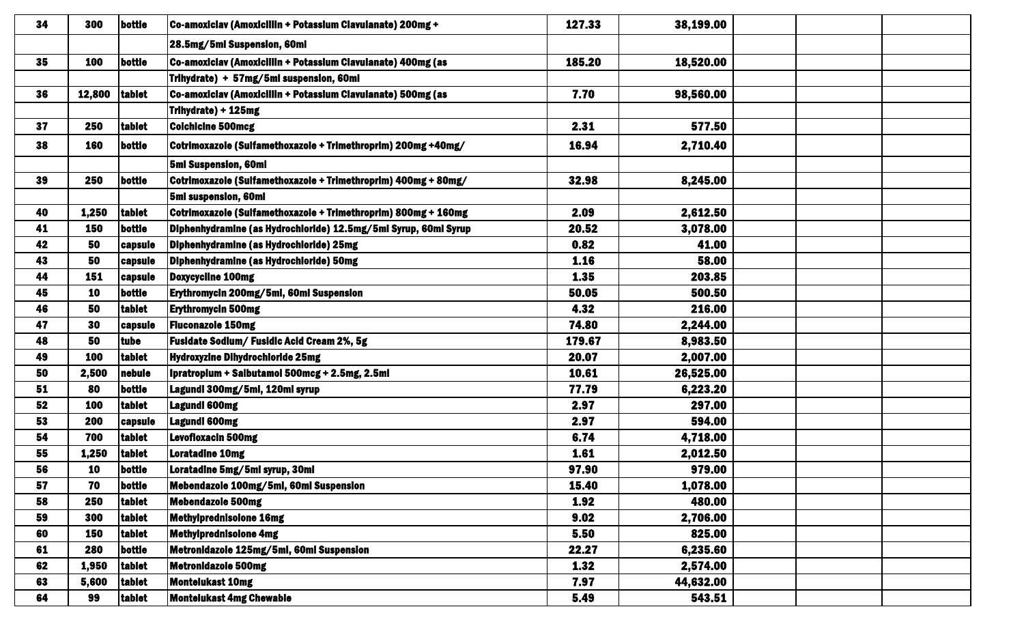| 34 | 300        | bottle         | Co-amoxiclav (Amoxicillin + Potassium Clavulanate) 200mg +      | 127.33 | 38,199.00 |  |
|----|------------|----------------|-----------------------------------------------------------------|--------|-----------|--|
|    |            |                | 28.5mg/5ml Suspension, 60ml                                     |        |           |  |
| 35 | 100        | bottle         | Co-amoxiciav (Amoxiciliin + Potassium Clavulanate) 400mg (as    | 185.20 | 18,520.00 |  |
|    |            |                | Trihydrate) + 57mg/5ml suspension, 60ml                         |        |           |  |
| 36 | 12,800     | tablet         | Co-amoxiclav (Amoxicillin + Potassium Clavulanate) 500mg (as    | 7.70   | 98,560.00 |  |
|    |            |                | Trihydrate) + 125mg                                             |        |           |  |
| 37 | <b>250</b> | tablet         | <b>Colchicine 500mcg</b>                                        | 2.31   | 577.50    |  |
| 38 | <b>160</b> | bottle         | Cotrimoxazole (Sulfamethoxazole + Trimethroprim) 200mg +40mg/   | 16.94  | 2,710.40  |  |
|    |            |                | 5ml Suspension, 60ml                                            |        |           |  |
| 39 | 250        | bottle         | Cotrimoxazole (Sulfamethoxazole + Trimethroprim) 400mg + 80mg/  | 32.98  | 8,245.00  |  |
|    |            |                | 5ml suspension, 60ml                                            |        |           |  |
| 40 | 1,250      | tablet         | Cotrimoxazole (Sulfamethoxazole + Trimethroprim) 800mg + 160mg  | 2.09   | 2,612.50  |  |
| 41 | <b>150</b> | bottle         | Diphenhydramine (as Hydrochloride) 12.5mg/5ml Syrup, 60ml Syrup | 20.52  | 3,078.00  |  |
| 42 | 50         | <b>capsule</b> | Diphenhydramine (as Hydrochloride) 25mg                         | 0.82   | 41.00     |  |
| 43 | 50         | <b>capsule</b> | Diphenhydramine (as Hydrochloride) 50mg                         | 1.16   | 58.00     |  |
| 44 | <b>151</b> | <b>capsule</b> | <b>Doxycycline 100mg</b>                                        | 1.35   | 203.85    |  |
| 45 | 10         | bottle         | Erythromycin 200mg/5ml, 60ml Suspension                         | 50.05  | 500.50    |  |
| 46 | 50         | tablet         | <b>Erythromycin 500mg</b>                                       | 4.32   | 216.00    |  |
| 47 | 30         | capsule        | <b>Fluconazole 150mg</b>                                        | 74.80  | 2,244.00  |  |
| 48 | 50         | tube           | Fusidate Sodium/ Fusidic Acid Cream 2%, 5g                      | 179.67 | 8,983.50  |  |
| 49 | 100        | tablet         | <b>Hydroxyzine Dihydrochloride 25mg</b>                         | 20.07  | 2,007.00  |  |
| 50 | 2,500      | nebule         | Ipratropium + Salbutamol 500mcg + 2.5mg, 2.5ml                  | 10.61  | 26,525.00 |  |
| 51 | 80         | bottle         | Lagundi 300mg/5ml, 120ml syrup                                  | 77.79  | 6,223.20  |  |
| 52 | <b>100</b> | tablet         | Lagundi 600mg                                                   | 2.97   | 297.00    |  |
| 53 | <b>200</b> | <b>capsule</b> | <b>Lagundi 600mg</b>                                            | 2.97   | 594.00    |  |
| 54 | 700        | tablet         | <b>Levofloxacin 500mg</b>                                       | 6.74   | 4,718.00  |  |
| 55 | 1,250      | tablet         | <b>Loratadine 10mg</b>                                          | 1.61   | 2,012.50  |  |
| 56 | 10         | bottle         | Loratadine 5mg/5ml syrup, 30ml                                  | 97.90  | 979.00    |  |
| 57 | 70         | bottle         | Mebendazole 100mg/5ml, 60ml Suspension                          | 15.40  | 1,078.00  |  |
| 58 | 250        | tablet         | <b>Mebendazole 500mg</b>                                        | 1.92   | 480.00    |  |
| 59 | 300        | tablet         | <b>Methylprednisolone 16mg</b>                                  | 9.02   | 2,706.00  |  |
| 60 | 150        | tablet         | <b>Methylprednisolone 4mg</b>                                   | 5.50   | 825.00    |  |
| 61 | 280        | bottle         | Metronidazole 125mg/5ml, 60ml Suspension                        | 22.27  | 6,235.60  |  |
| 62 | 1,950      | tablet         | <b>Metronidazole 500mg</b>                                      | 1.32   | 2,574.00  |  |
| 63 | 5,600      | tablet         | <b>Montelukast 10mg</b>                                         | 7.97   | 44,632.00 |  |
| 64 | 99         | tablet         | <b>Montelukast 4mg Chewable</b>                                 | 5.49   | 543.51    |  |